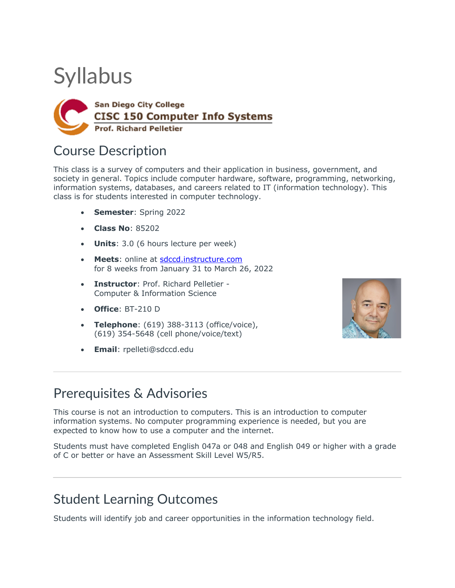# **Syllabus**



### Course Description

This class is a survey of computers and their application in business, government, and society in general. Topics include computer hardware, software, programming, networking, information systems, databases, and careers related to IT (information technology). This class is for students interested in computer technology.

- **Semester**: Spring 2022
- **Class No**: 85202
- **Units**: 3.0 (6 hours lecture per week)
- **Meets**: online at sdccd.instructure.com for 8 weeks from January 31 to March 26, 2022
- **Instructor**: Prof. Richard Pelletier Computer & Information Science
- **Office**: BT-210 D
- **Telephone**: (619) 388-3113 (office/voice), (619) 354-5648 (cell phone/voice/text)
- **Email**: rpelleti@sdccd.edu



#### Prerequisites & Advisories

This course is not an introduction to computers. This is an introduction to computer information systems. No computer programming experience is needed, but you are expected to know how to use a computer and the internet.

Students must have completed English 047a or 048 and English 049 or higher with a grade of C or better or have an Assessment Skill Level W5/R5.

### Student Learning Outcomes

Students will identify job and career opportunities in the information technology field.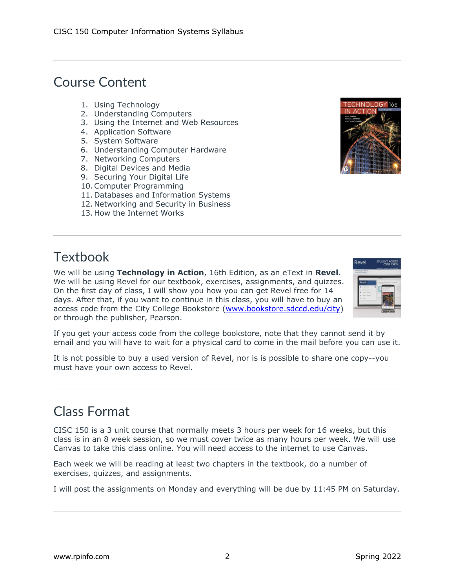## Course Content

- 1. Using Technology
- 2. Understanding Computers
- 3. Using the Internet and Web Resources
- 4. Application Software
- 5. System Software
- 6. Understanding Computer Hardware
- 7. Networking Computers
- 8. Digital Devices and Media
- 9. Securing Your Digital Life
- 10.Computer Programming
- 11. Databases and Information Systems
- 12. Networking and Security in Business
- 13. How the Internet Works



# **Textbook**

We will be using **Technology in Action**, 16th Edition, as an eText in **Revel**. We will be using Revel for our textbook, exercises, assignments, and quizzes. On the first day of class, I will show you how you can get Revel free for 14 days. After that, if you want to continue in this class, you will have to buy an access code from the City College Bookstore (www.bookstore.sdccd.edu/city) or through the publisher, Pearson.



If you get your access code from the college bookstore, note that they cannot send it by email and you will have to wait for a physical card to come in the mail before you can use it.

It is not possible to buy a used version of Revel, nor is is possible to share one copy--you must have your own access to Revel.

#### Class Format

CISC 150 is a 3 unit course that normally meets 3 hours per week for 16 weeks, but this class is in an 8 week session, so we must cover twice as many hours per week. We will use Canvas to take this class online. You will need access to the internet to use Canvas.

Each week we will be reading at least two chapters in the textbook, do a number of exercises, quizzes, and assignments.

I will post the assignments on Monday and everything will be due by 11:45 PM on Saturday.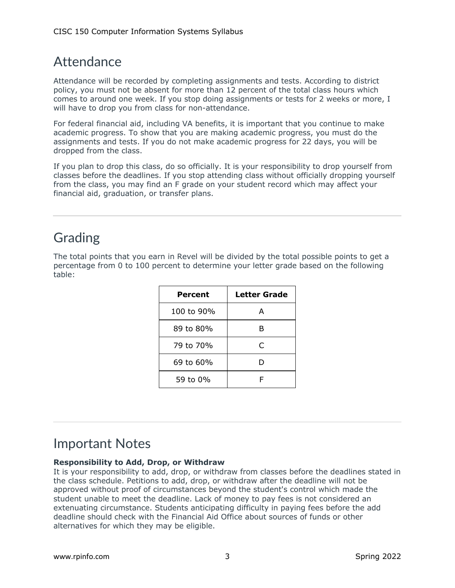### Attendance

Attendance will be recorded by completing assignments and tests. According to district policy, you must not be absent for more than 12 percent of the total class hours which comes to around one week. If you stop doing assignments or tests for 2 weeks or more, I will have to drop you from class for non-attendance.

For federal financial aid, including VA benefits, it is important that you continue to make academic progress. To show that you are making academic progress, you must do the assignments and tests. If you do not make academic progress for 22 days, you will be dropped from the class.

If you plan to drop this class, do so officially. It is your responsibility to drop yourself from classes before the deadlines. If you stop attending class without officially dropping yourself from the class, you may find an F grade on your student record which may affect your financial aid, graduation, or transfer plans.

### Grading

The total points that you earn in Revel will be divided by the total possible points to get a percentage from 0 to 100 percent to determine your letter grade based on the following table:

| Percent    | Letter Grade |  |
|------------|--------------|--|
| 100 to 90% | А            |  |
| 89 to 80%  | в            |  |
| 79 to 70%  | C            |  |
| 69 to 60%  | D            |  |
| 59 to 0%   |              |  |

### Important Notes

#### **Responsibility to Add, Drop, or Withdraw**

It is your responsibility to add, drop, or withdraw from classes before the deadlines stated in the class schedule. Petitions to add, drop, or withdraw after the deadline will not be approved without proof of circumstances beyond the student's control which made the student unable to meet the deadline. Lack of money to pay fees is not considered an extenuating circumstance. Students anticipating difficulty in paying fees before the add deadline should check with the Financial Aid Office about sources of funds or other alternatives for which they may be eligible.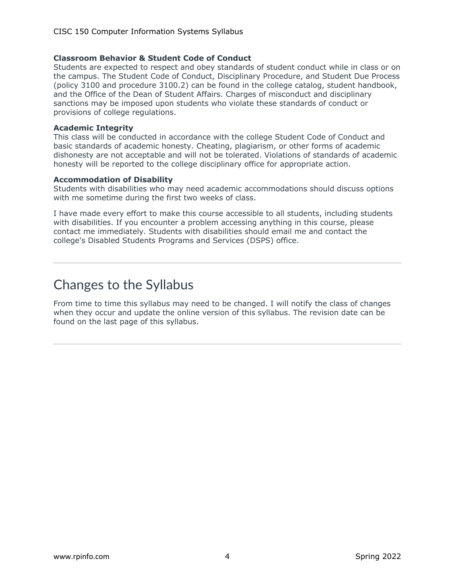#### **Classroom Behavior & Student Code of Conduct**

Students are expected to respect and obey standards of student conduct while in class or on the campus. The Student Code of Conduct, Disciplinary Procedure, and Student Due Process (policy 3100 and procedure 3100.2) can be found in the college catalog, student handbook, and the Office of the Dean of Student Affairs. Charges of misconduct and disciplinary sanctions may be imposed upon students who violate these standards of conduct or provisions of college regulations.

#### **Academic Integrity**

This class will be conducted in accordance with the college Student Code of Conduct and basic standards of academic honesty. Cheating, plagiarism, or other forms of academic dishonesty are not acceptable and will not be tolerated. Violations of standards of academic honesty will be reported to the college disciplinary office for appropriate action.

#### **Accommodation of Disability**

Students with disabilities who may need academic accommodations should discuss options with me sometime during the first two weeks of class.

I have made every effort to make this course accessible to all students, including students with disabilities. If you encounter a problem accessing anything in this course, please contact me immediately. Students with disabilities should email me and contact the college's Disabled Students Programs and Services (DSPS) office.

### Changes to the Syllabus

From time to time this syllabus may need to be changed. I will notify the class of changes when they occur and update the online version of this syllabus. The revision date can be found on the last page of this syllabus.